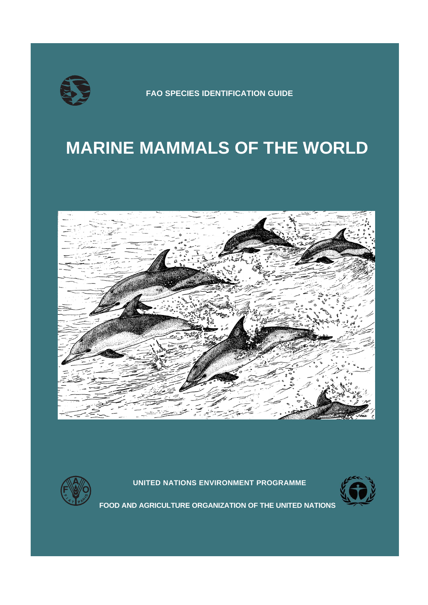

**FAO SPECIES IDENTIFICATION GUIDE**

# **MARINE MAMMALS OF THE WORLD**



**UNITED NATIONS ENVIRONMENT PROGRAMME**



**FOOD AND AGRICULTURE ORGANIZATION OF THE UNITED NATIONS**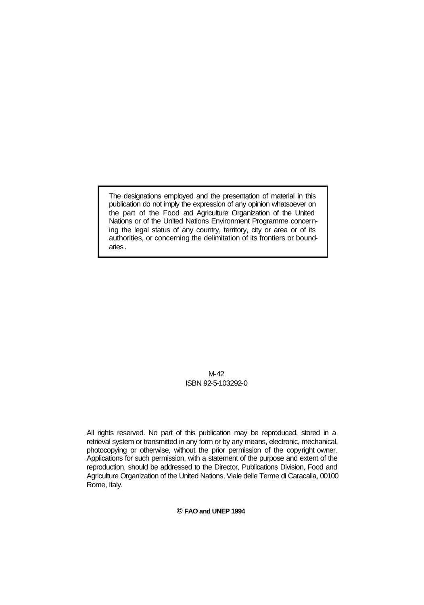The designations employed and the presentation of material in this publication do not imply the expression of any opinion whatsoever on the part of the Food and Agriculture Organization of the United Nations or of the United Nations Environment Programme concerning the legal status of any country, territory, city or area or of its authorities, or concerning the delimitation of its frontiers or boundaries .

### M-42 ISBN 92-5-103292-0

All rights reserved. No part of this publication may be reproduced, stored in a retrieval system or transmitted in any form or by any means, electronic, mechanical, photocopying or otherwise, without the prior permission of the copyright owner. Applications for such permission, with a statement of the purpose and extent of the reproduction, should be addressed to the Director, Publications Division, Food and Agriculture Organization of the United Nations, Viale delle Terme di Caracalla, 00100 Rome, Italy.

**© FAO and UNEP 1994**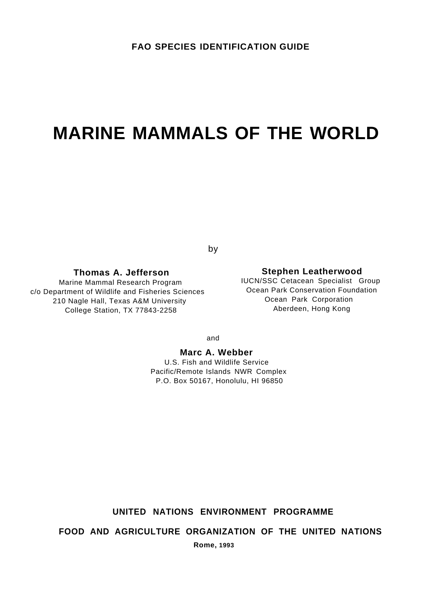# **MARINE MAMMALS OF THE WORLD**

by

c/o Department of Wildlife and Fisheries Sciences Communic Communic Conservation Four<br>210 Nagle Hall Texas A&M University Communic Communic Corporation 210 Nagle Hall, Texas A&M University **210 Ocean Park Corporation**<br>College Station TX 77843-2258 **College Station TX 77843-2258** College Station, TX 77843-2258

## **Thomas A. Jefferson Stephen Leatherwood**

Marine Mammal Research Program **IUCN/SSC Cetacean Specialist Group**<br> **IUCN/SSC Cetacean Specialist Group**<br>
Ocean Park Conservation Foundation

and

**Marc A. Webber**

U.S. Fish and Wildlife Service Pacific/Remote Islands NWR Complex P.O. Box 50167, Honolulu, HI 96850

# **UNITED NATIONS ENVIRONMENT PROGRAMME**

**FOOD AND AGRICULTURE ORGANIZATION OF THE UNITED NATIONS**

**Rome, 1993**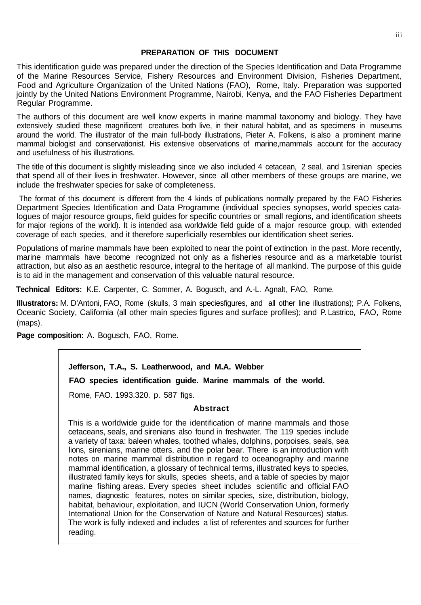# **PREPARATION OF THIS DOCUMENT**

This identification guide was prepared under the direction of the Species Identification and Data Programme of the Marine Resources Service, Fishery Resources and Environment Division, Fisheries Department, Food and Agriculture Organization of the United Nations (FAO), Rome, Italy. Preparation was supported jointly by the United Nations Environment Programme, Nairobi, Kenya, and the FAO Fisheries Department Regular Programme.

The authors of this document are well know experts in marine mammal taxonomy and biology. They have extensively studied these magnificent creatures both live, in their natural habitat, and as specimens in museums around the world. The illustrator of the main full-body illustrations, Pieter A. Folkens, is also a prominent marine mammal biologist and conservationist. His extensive observations of marine,mammals account for the accuracy and usefulness of his illustrations.

The title of this document is slightly misleading since we also included 4 cetacean, 2 seal, and 1 sirenian species that spend all of their lives in freshwater. However, since all other members of these groups are marine, we include the freshwater species for sake of completeness.

The format of this document is different from the 4 kinds of publications normally prepared by the FAO Fisheries Department Species Identification and Data Programme (individual species synopses, world species catalogues of major resource groups, field guides for specific countries or small regions, and identification sheets for major regions of the world). It is intended asa worldwide field guide of a major resource group, with extended coverage of each species, and it therefore superficially resembles our identification sheet series.

Populations of marine mammals have been exploited to near the point of extinction in the past. More recently, marine mammals have become recognized not only as a fisheries resource and as a marketable tourist attraction, but also as an aesthetic resource, integral to the heritage of all mankind. The purpose of this guide is to aid in the management and conservation of this valuable natural resource.

**Technical Editors:** K.E. Carpenter, C. Sommer, A. Bogusch, and A.-L. Agnalt, FAO, Rome.

**Illustrators:** M. D'Antoni, FAO, Rome (skulls, 3 main speciesfigures, and all other line illustrations); P.A. Folkens, Oceanic Society, California (all other main species figures and surface profiles); and P. Lastrico, FAO, Rome (maps).

**Page composition:** A. Bogusch, FAO, Rome.

# **Jefferson, T.A., S. Leatherwood, and M.A. Webber**

**FAO species identification guide. Marine mammals of the world.**

Rome, FAO. 1993.320. p. 587 figs.

# **Abstract**

This is a worldwide guide for the identification of marine mammals and those cetaceans, seals, and sirenians also found in freshwater. The 119 species include a variety of taxa: baleen whales, toothed whales, dolphins, porpoises, seals, sea lions, sirenians, marine otters, and the polar bear. There is an introduction with notes on marine mammal distribution in regard to oceanography and marine mammal identification, a glossary of technical terms, illustrated keys to species, illustrated family keys for skulls, species sheets, and a table of species by major marine fishing areas. Every species sheet includes scientific and official FAO names, diagnostic features, notes on similar species, size, distribution, biology, habitat, behaviour, exploitation, and IUCN (World Conservation Union, formerly International Union for the Conservation of Nature and Natural Resources) status. The work is fully indexed and includes a list of referentes and sources for further reading.